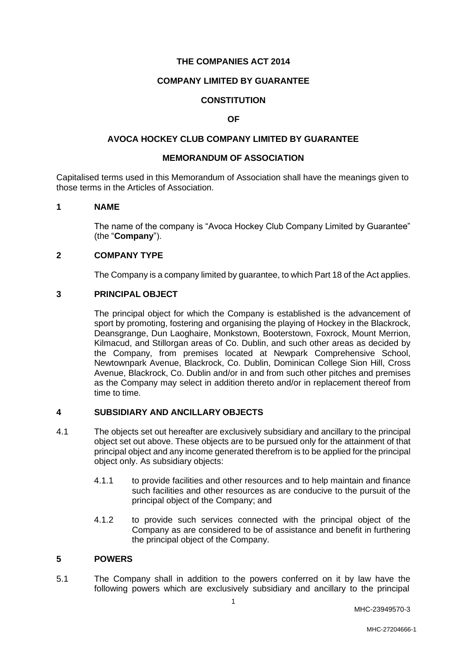### **THE COMPANIES ACT 2014**

## **COMPANY LIMITED BY GUARANTEE**

## **CONSTITUTION**

### **OF**

### **AVOCA HOCKEY CLUB COMPANY LIMITED BY GUARANTEE**

## **MEMORANDUM OF ASSOCIATION**

Capitalised terms used in this Memorandum of Association shall have the meanings given to those terms in the Articles of Association.

### **1 NAME**

The name of the company is "Avoca Hockey Club Company Limited by Guarantee" (the "**Company**").

### **2 COMPANY TYPE**

The Company is a company limited by guarantee, to which Part 18 of the Act applies.

### **3 PRINCIPAL OBJECT**

The principal object for which the Company is established is the advancement of sport by promoting, fostering and organising the playing of Hockey in the Blackrock, Deansgrange, Dun Laoghaire, Monkstown, Booterstown, Foxrock, Mount Merrion, Kilmacud, and Stillorgan areas of Co. Dublin, and such other areas as decided by the Company, from premises located at Newpark Comprehensive School, Newtownpark Avenue, Blackrock, Co. Dublin, Dominican College Sion Hill, Cross Avenue, Blackrock, Co. Dublin and/or in and from such other pitches and premises as the Company may select in addition thereto and/or in replacement thereof from time to time.

### **4 SUBSIDIARY AND ANCILLARY OBJECTS**

- 4.1 The objects set out hereafter are exclusively subsidiary and ancillary to the principal object set out above. These objects are to be pursued only for the attainment of that principal object and any income generated therefrom is to be applied for the principal object only. As subsidiary objects:
	- 4.1.1 to provide facilities and other resources and to help maintain and finance such facilities and other resources as are conducive to the pursuit of the principal object of the Company; and
	- 4.1.2 to provide such services connected with the principal object of the Company as are considered to be of assistance and benefit in furthering the principal object of the Company.

### **5 POWERS**

5.1 The Company shall in addition to the powers conferred on it by law have the following powers which are exclusively subsidiary and ancillary to the principal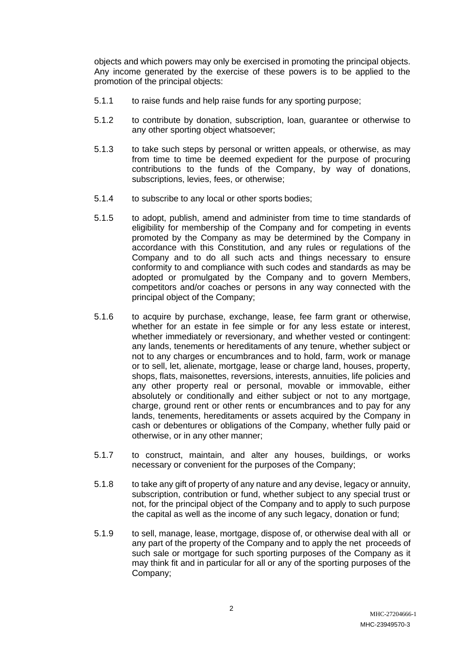objects and which powers may only be exercised in promoting the principal objects. Any income generated by the exercise of these powers is to be applied to the promotion of the principal objects:

- 5.1.1 to raise funds and help raise funds for any sporting purpose;
- 5.1.2 to contribute by donation, subscription, loan, guarantee or otherwise to any other sporting object whatsoever;
- 5.1.3 to take such steps by personal or written appeals, or otherwise, as may from time to time be deemed expedient for the purpose of procuring contributions to the funds of the Company, by way of donations, subscriptions, levies, fees, or otherwise;
- 5.1.4 to subscribe to any local or other sports bodies;
- 5.1.5 to adopt, publish, amend and administer from time to time standards of eligibility for membership of the Company and for competing in events promoted by the Company as may be determined by the Company in accordance with this Constitution, and any rules or regulations of the Company and to do all such acts and things necessary to ensure conformity to and compliance with such codes and standards as may be adopted or promulgated by the Company and to govern Members, competitors and/or coaches or persons in any way connected with the principal object of the Company;
- 5.1.6 to acquire by purchase, exchange, lease, fee farm grant or otherwise, whether for an estate in fee simple or for any less estate or interest, whether immediately or reversionary, and whether vested or contingent: any lands, tenements or hereditaments of any tenure, whether subject or not to any charges or encumbrances and to hold, farm, work or manage or to sell, let, alienate, mortgage, lease or charge land, houses, property, shops, flats, maisonettes, reversions, interests, annuities, life policies and any other property real or personal, movable or immovable, either absolutely or conditionally and either subject or not to any mortgage, charge, ground rent or other rents or encumbrances and to pay for any lands, tenements, hereditaments or assets acquired by the Company in cash or debentures or obligations of the Company, whether fully paid or otherwise, or in any other manner;
- 5.1.7 to construct, maintain, and alter any houses, buildings, or works necessary or convenient for the purposes of the Company;
- 5.1.8 to take any gift of property of any nature and any devise, legacy or annuity, subscription, contribution or fund, whether subject to any special trust or not, for the principal object of the Company and to apply to such purpose the capital as well as the income of any such legacy, donation or fund;
- 5.1.9 to sell, manage, lease, mortgage, dispose of, or otherwise deal with all or any part of the property of the Company and to apply the net proceeds of such sale or mortgage for such sporting purposes of the Company as it may think fit and in particular for all or any of the sporting purposes of the Company;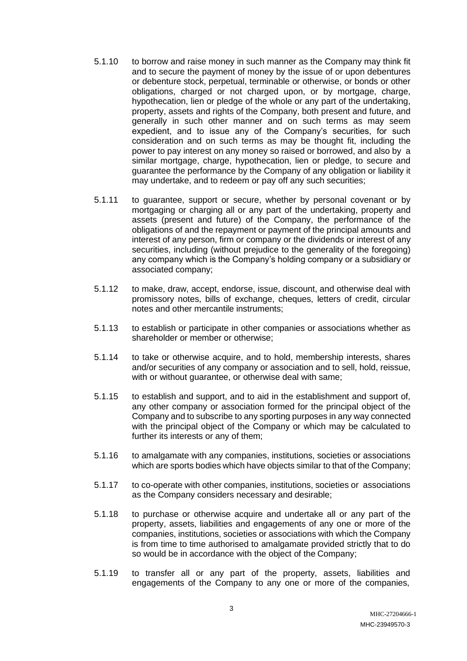- 5.1.10 to borrow and raise money in such manner as the Company may think fit and to secure the payment of money by the issue of or upon debentures or debenture stock, perpetual, terminable or otherwise, or bonds or other obligations, charged or not charged upon, or by mortgage, charge, hypothecation, lien or pledge of the whole or any part of the undertaking, property, assets and rights of the Company, both present and future, and generally in such other manner and on such terms as may seem expedient, and to issue any of the Company's securities, for such consideration and on such terms as may be thought fit, including the power to pay interest on any money so raised or borrowed, and also by a similar mortgage, charge, hypothecation, lien or pledge, to secure and guarantee the performance by the Company of any obligation or liability it may undertake, and to redeem or pay off any such securities;
- 5.1.11 to guarantee, support or secure, whether by personal covenant or by mortgaging or charging all or any part of the undertaking, property and assets (present and future) of the Company, the performance of the obligations of and the repayment or payment of the principal amounts and interest of any person, firm or company or the dividends or interest of any securities, including (without prejudice to the generality of the foregoing) any company which is the Company's holding company or a subsidiary or associated company;
- 5.1.12 to make, draw, accept, endorse, issue, discount, and otherwise deal with promissory notes, bills of exchange, cheques, letters of credit, circular notes and other mercantile instruments;
- 5.1.13 to establish or participate in other companies or associations whether as shareholder or member or otherwise;
- 5.1.14 to take or otherwise acquire, and to hold, membership interests, shares and/or securities of any company or association and to sell, hold, reissue, with or without guarantee, or otherwise deal with same;
- 5.1.15 to establish and support, and to aid in the establishment and support of, any other company or association formed for the principal object of the Company and to subscribe to any sporting purposes in any way connected with the principal object of the Company or which may be calculated to further its interests or any of them;
- 5.1.16 to amalgamate with any companies, institutions, societies or associations which are sports bodies which have objects similar to that of the Company;
- 5.1.17 to co-operate with other companies, institutions, societies or associations as the Company considers necessary and desirable;
- 5.1.18 to purchase or otherwise acquire and undertake all or any part of the property, assets, liabilities and engagements of any one or more of the companies, institutions, societies or associations with which the Company is from time to time authorised to amalgamate provided strictly that to do so would be in accordance with the object of the Company;
- 5.1.19 to transfer all or any part of the property, assets, liabilities and engagements of the Company to any one or more of the companies,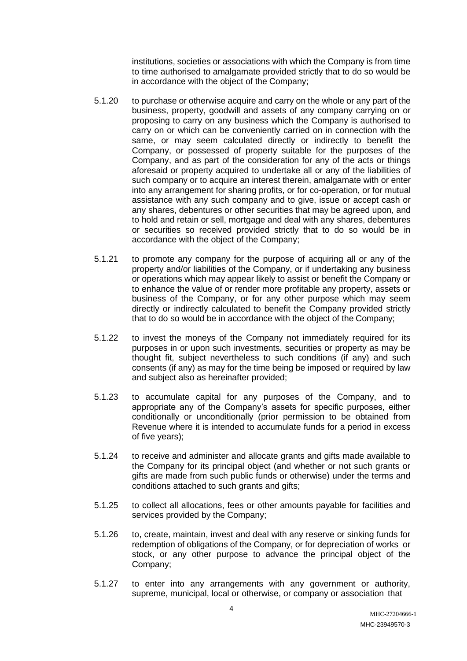institutions, societies or associations with which the Company is from time to time authorised to amalgamate provided strictly that to do so would be in accordance with the object of the Company;

- 5.1.20 to purchase or otherwise acquire and carry on the whole or any part of the business, property, goodwill and assets of any company carrying on or proposing to carry on any business which the Company is authorised to carry on or which can be conveniently carried on in connection with the same, or may seem calculated directly or indirectly to benefit the Company, or possessed of property suitable for the purposes of the Company, and as part of the consideration for any of the acts or things aforesaid or property acquired to undertake all or any of the liabilities of such company or to acquire an interest therein, amalgamate with or enter into any arrangement for sharing profits, or for co-operation, or for mutual assistance with any such company and to give, issue or accept cash or any shares, debentures or other securities that may be agreed upon, and to hold and retain or sell, mortgage and deal with any shares, debentures or securities so received provided strictly that to do so would be in accordance with the object of the Company;
- 5.1.21 to promote any company for the purpose of acquiring all or any of the property and/or liabilities of the Company, or if undertaking any business or operations which may appear likely to assist or benefit the Company or to enhance the value of or render more profitable any property, assets or business of the Company, or for any other purpose which may seem directly or indirectly calculated to benefit the Company provided strictly that to do so would be in accordance with the object of the Company;
- 5.1.22 to invest the moneys of the Company not immediately required for its purposes in or upon such investments, securities or property as may be thought fit, subject nevertheless to such conditions (if any) and such consents (if any) as may for the time being be imposed or required by law and subject also as hereinafter provided;
- 5.1.23 to accumulate capital for any purposes of the Company, and to appropriate any of the Company's assets for specific purposes, either conditionally or unconditionally (prior permission to be obtained from Revenue where it is intended to accumulate funds for a period in excess of five years);
- 5.1.24 to receive and administer and allocate grants and gifts made available to the Company for its principal object (and whether or not such grants or gifts are made from such public funds or otherwise) under the terms and conditions attached to such grants and gifts;
- 5.1.25 to collect all allocations, fees or other amounts payable for facilities and services provided by the Company;
- 5.1.26 to, create, maintain, invest and deal with any reserve or sinking funds for redemption of obligations of the Company, or for depreciation of works or stock, or any other purpose to advance the principal object of the Company;
- 5.1.27 to enter into any arrangements with any government or authority, supreme, municipal, local or otherwise, or company or association that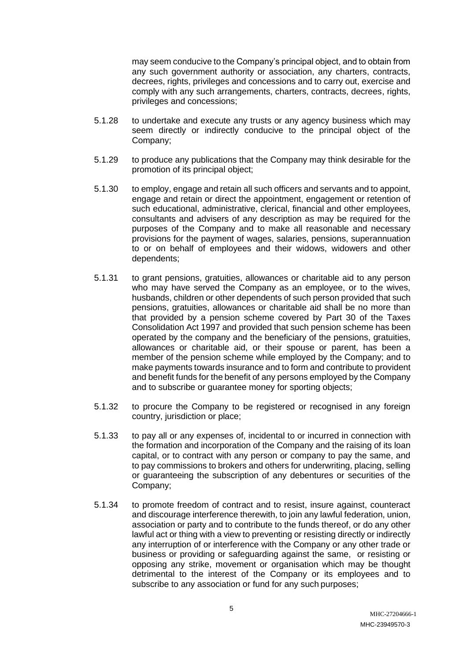may seem conducive to the Company's principal object, and to obtain from any such government authority or association, any charters, contracts, decrees, rights, privileges and concessions and to carry out, exercise and comply with any such arrangements, charters, contracts, decrees, rights, privileges and concessions;

- 5.1.28 to undertake and execute any trusts or any agency business which may seem directly or indirectly conducive to the principal object of the Company;
- 5.1.29 to produce any publications that the Company may think desirable for the promotion of its principal object;
- 5.1.30 to employ, engage and retain all such officers and servants and to appoint, engage and retain or direct the appointment, engagement or retention of such educational, administrative, clerical, financial and other employees, consultants and advisers of any description as may be required for the purposes of the Company and to make all reasonable and necessary provisions for the payment of wages, salaries, pensions, superannuation to or on behalf of employees and their widows, widowers and other dependents;
- 5.1.31 to grant pensions, gratuities, allowances or charitable aid to any person who may have served the Company as an employee, or to the wives, husbands, children or other dependents of such person provided that such pensions, gratuities, allowances or charitable aid shall be no more than that provided by a pension scheme covered by Part 30 of the Taxes Consolidation Act 1997 and provided that such pension scheme has been operated by the company and the beneficiary of the pensions, gratuities, allowances or charitable aid, or their spouse or parent, has been a member of the pension scheme while employed by the Company; and to make payments towards insurance and to form and contribute to provident and benefit funds for the benefit of any persons employed by the Company and to subscribe or guarantee money for sporting objects;
- 5.1.32 to procure the Company to be registered or recognised in any foreign country, jurisdiction or place;
- 5.1.33 to pay all or any expenses of, incidental to or incurred in connection with the formation and incorporation of the Company and the raising of its loan capital, or to contract with any person or company to pay the same, and to pay commissions to brokers and others for underwriting, placing, selling or guaranteeing the subscription of any debentures or securities of the Company;
- 5.1.34 to promote freedom of contract and to resist, insure against, counteract and discourage interference therewith, to join any lawful federation, union, association or party and to contribute to the funds thereof, or do any other lawful act or thing with a view to preventing or resisting directly or indirectly any interruption of or interference with the Company or any other trade or business or providing or safeguarding against the same, or resisting or opposing any strike, movement or organisation which may be thought detrimental to the interest of the Company or its employees and to subscribe to any association or fund for any such purposes;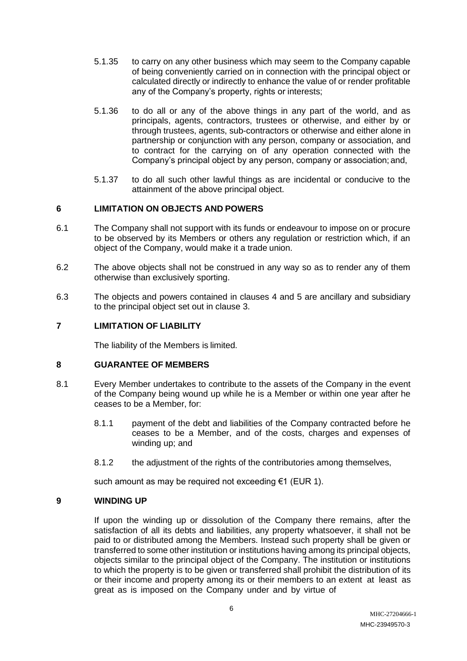- 5.1.35 to carry on any other business which may seem to the Company capable of being conveniently carried on in connection with the principal object or calculated directly or indirectly to enhance the value of or render profitable any of the Company's property, rights or interests;
- 5.1.36 to do all or any of the above things in any part of the world, and as principals, agents, contractors, trustees or otherwise, and either by or through trustees, agents, sub-contractors or otherwise and either alone in partnership or conjunction with any person, company or association, and to contract for the carrying on of any operation connected with the Company's principal object by any person, company or association; and,
- 5.1.37 to do all such other lawful things as are incidental or conducive to the attainment of the above principal object.

## **6 LIMITATION ON OBJECTS AND POWERS**

- 6.1 The Company shall not support with its funds or endeavour to impose on or procure to be observed by its Members or others any regulation or restriction which, if an object of the Company, would make it a trade union.
- 6.2 The above objects shall not be construed in any way so as to render any of them otherwise than exclusively sporting.
- 6.3 The objects and powers contained in clauses 4 and 5 are ancillary and subsidiary to the principal object set out in clause 3.

## **7 LIMITATION OF LIABILITY**

The liability of the Members is limited.

### **8 GUARANTEE OF MEMBERS**

- 8.1 Every Member undertakes to contribute to the assets of the Company in the event of the Company being wound up while he is a Member or within one year after he ceases to be a Member, for:
	- 8.1.1 payment of the debt and liabilities of the Company contracted before he ceases to be a Member, and of the costs, charges and expenses of winding up; and
	- 8.1.2 the adjustment of the rights of the contributories among themselves,

such amount as may be required not exceeding €1 (EUR 1).

### **9 WINDING UP**

If upon the winding up or dissolution of the Company there remains, after the satisfaction of all its debts and liabilities, any property whatsoever, it shall not be paid to or distributed among the Members. Instead such property shall be given or transferred to some other institution or institutions having among its principal objects, objects similar to the principal object of the Company. The institution or institutions to which the property is to be given or transferred shall prohibit the distribution of its or their income and property among its or their members to an extent at least as great as is imposed on the Company under and by virtue of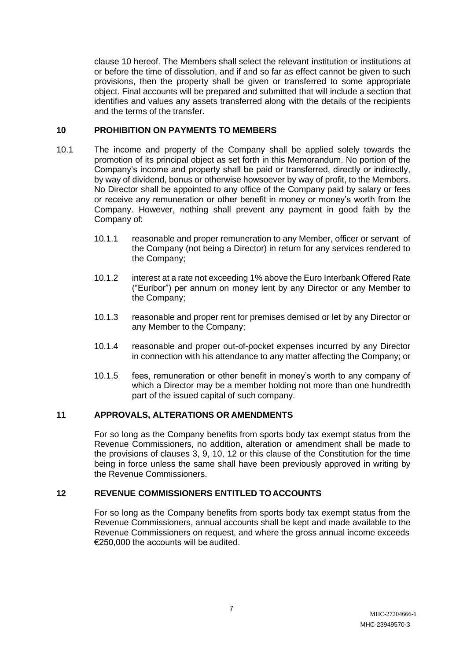clause 10 hereof. The Members shall select the relevant institution or institutions at or before the time of dissolution, and if and so far as effect cannot be given to such provisions, then the property shall be given or transferred to some appropriate object. Final accounts will be prepared and submitted that will include a section that identifies and values any assets transferred along with the details of the recipients and the terms of the transfer.

## **10 PROHIBITION ON PAYMENTS TO MEMBERS**

- 10.1 The income and property of the Company shall be applied solely towards the promotion of its principal object as set forth in this Memorandum. No portion of the Company's income and property shall be paid or transferred, directly or indirectly, by way of dividend, bonus or otherwise howsoever by way of profit, to the Members. No Director shall be appointed to any office of the Company paid by salary or fees or receive any remuneration or other benefit in money or money's worth from the Company. However, nothing shall prevent any payment in good faith by the Company of:
	- 10.1.1 reasonable and proper remuneration to any Member, officer or servant of the Company (not being a Director) in return for any services rendered to the Company;
	- 10.1.2 interest at a rate not exceeding 1% above the Euro Interbank Offered Rate ("Euribor") per annum on money lent by any Director or any Member to the Company;
	- 10.1.3 reasonable and proper rent for premises demised or let by any Director or any Member to the Company;
	- 10.1.4 reasonable and proper out-of-pocket expenses incurred by any Director in connection with his attendance to any matter affecting the Company; or
	- 10.1.5 fees, remuneration or other benefit in money's worth to any company of which a Director may be a member holding not more than one hundredth part of the issued capital of such company.

# **11 APPROVALS, ALTERATIONS OR AMENDMENTS**

For so long as the Company benefits from sports body tax exempt status from the Revenue Commissioners, no addition, alteration or amendment shall be made to the provisions of clauses 3, 9, 10, 12 or this clause of the Constitution for the time being in force unless the same shall have been previously approved in writing by the Revenue Commissioners.

# **12 REVENUE COMMISSIONERS ENTITLED TOACCOUNTS**

For so long as the Company benefits from sports body tax exempt status from the Revenue Commissioners, annual accounts shall be kept and made available to the Revenue Commissioners on request, and where the gross annual income exceeds €250,000 the accounts will be audited.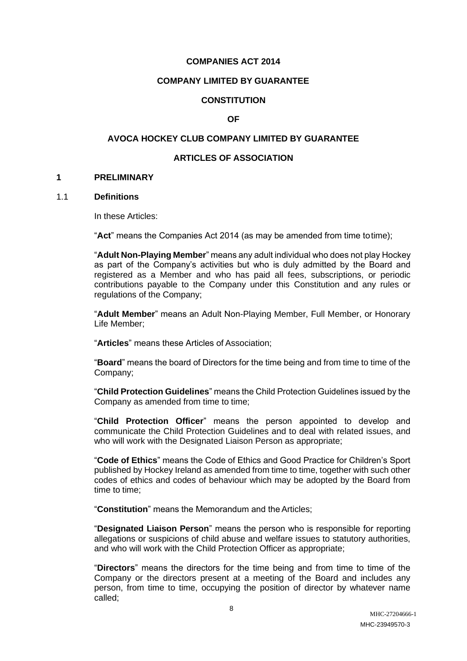### **COMPANIES ACT 2014**

## **COMPANY LIMITED BY GUARANTEE**

## **CONSTITUTION**

### **OF**

## **AVOCA HOCKEY CLUB COMPANY LIMITED BY GUARANTEE**

## **ARTICLES OF ASSOCIATION**

#### **1 PRELIMINARY**

### 1.1 **Definitions**

In these Articles:

"**Act**" means the Companies Act 2014 (as may be amended from time totime);

"**Adult Non-Playing Member**" means any adult individual who does not play Hockey as part of the Company's activities but who is duly admitted by the Board and registered as a Member and who has paid all fees, subscriptions, or periodic contributions payable to the Company under this Constitution and any rules or regulations of the Company;

"**Adult Member**" means an Adult Non-Playing Member, Full Member, or Honorary Life Member;

"**Articles**" means these Articles of Association;

"**Board**" means the board of Directors for the time being and from time to time of the Company;

"**Child Protection Guidelines**" means the Child Protection Guidelines issued by the Company as amended from time to time;

"**Child Protection Officer**" means the person appointed to develop and communicate the Child Protection Guidelines and to deal with related issues, and who will work with the Designated Liaison Person as appropriate;

"**Code of Ethics**" means the Code of Ethics and Good Practice for Children's Sport published by Hockey Ireland as amended from time to time, together with such other codes of ethics and codes of behaviour which may be adopted by the Board from time to time;

"**Constitution**" means the Memorandum and theArticles;

"**Designated Liaison Person**" means the person who is responsible for reporting allegations or suspicions of child abuse and welfare issues to statutory authorities, and who will work with the Child Protection Officer as appropriate;

"**Directors**" means the directors for the time being and from time to time of the Company or the directors present at a meeting of the Board and includes any person, from time to time, occupying the position of director by whatever name called;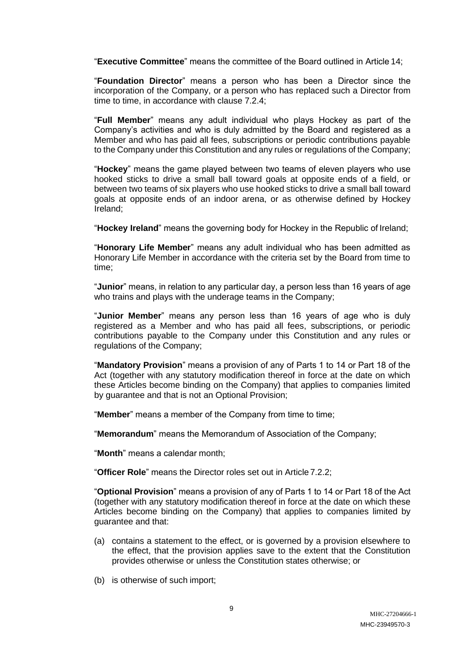"**Executive Committee**" means the committee of the Board outlined in Article 14;

"**Foundation Director**" means a person who has been a Director since the incorporation of the Company, or a person who has replaced such a Director from time to time, in accordance with clause 7.2.4;

"**Full Member**" means any adult individual who plays Hockey as part of the Company's activities and who is duly admitted by the Board and registered as a Member and who has paid all fees, subscriptions or periodic contributions payable to the Company under this Constitution and any rules or regulations of the Company;

"**Hockey**" means the game played between two teams of eleven players who use hooked sticks to drive a small ball toward goals at opposite ends of a field, or between two teams of six players who use hooked sticks to drive a small ball toward goals at opposite ends of an indoor arena, or as otherwise defined by Hockey Ireland;

"**Hockey Ireland**" means the governing body for Hockey in the Republic of Ireland;

"**Honorary Life Member**" means any adult individual who has been admitted as Honorary Life Member in accordance with the criteria set by the Board from time to time;

"**Junior**" means, in relation to any particular day, a person less than 16 years of age who trains and plays with the underage teams in the Company;

"**Junior Member**" means any person less than 16 years of age who is duly registered as a Member and who has paid all fees, subscriptions, or periodic contributions payable to the Company under this Constitution and any rules or regulations of the Company;

"**Mandatory Provision**" means a provision of any of Parts 1 to 14 or Part 18 of the Act (together with any statutory modification thereof in force at the date on which these Articles become binding on the Company) that applies to companies limited by guarantee and that is not an Optional Provision;

"**Member**" means a member of the Company from time to time;

"**Memorandum**" means the Memorandum of Association of the Company;

"**Month**" means a calendar month;

"**Officer Role**" means the Director roles set out in Article 7.2.2;

"**Optional Provision**" means a provision of any of Parts 1 to 14 or Part 18 of the Act (together with any statutory modification thereof in force at the date on which these Articles become binding on the Company) that applies to companies limited by guarantee and that:

- (a) contains a statement to the effect, or is governed by a provision elsewhere to the effect, that the provision applies save to the extent that the Constitution provides otherwise or unless the Constitution states otherwise; or
- (b) is otherwise of such import;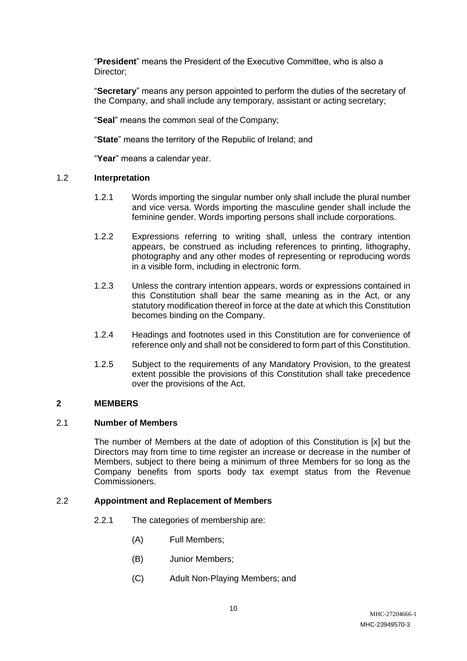"**President**" means the President of the Executive Committee, who is also a Director;

"**Secretary**" means any person appointed to perform the duties of the secretary of the Company, and shall include any temporary, assistant or acting secretary;

"**Seal**" means the common seal of the Company;

"**State**" means the territory of the Republic of Ireland; and

"**Year**" means a calendar year.

## 1.2 **Interpretation**

- 1.2.1 Words importing the singular number only shall include the plural number and vice versa. Words importing the masculine gender shall include the feminine gender. Words importing persons shall include corporations.
- 1.2.2 Expressions referring to writing shall, unless the contrary intention appears, be construed as including references to printing, lithography, photography and any other modes of representing or reproducing words in a visible form, including in electronic form.
- 1.2.3 Unless the contrary intention appears, words or expressions contained in this Constitution shall bear the same meaning as in the Act, or any statutory modification thereof in force at the date at which this Constitution becomes binding on the Company.
- 1.2.4 Headings and footnotes used in this Constitution are for convenience of reference only and shall not be considered to form part of this Constitution.
- 1.2.5 Subject to the requirements of any Mandatory Provision, to the greatest extent possible the provisions of this Constitution shall take precedence over the provisions of the Act.

## **2 MEMBERS**

## 2.1 **Number of Members**

The number of Members at the date of adoption of this Constitution is [x] but the Directors may from time to time register an increase or decrease in the number of Members, subject to there being a minimum of three Members for so long as the Company benefits from sports body tax exempt status from the Revenue Commissioners.

## 2.2 **Appointment and Replacement of Members**

- 2.2.1 The categories of membership are:
	- (A) Full Members;
	- (B) Junior Members;
	- (C) Adult Non-Playing Members; and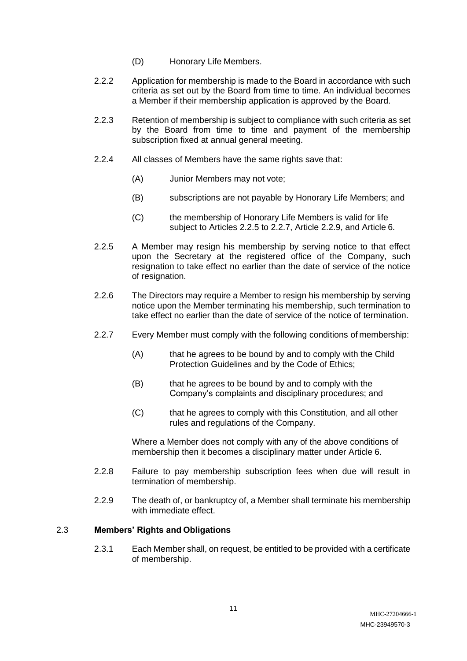- (D) Honorary Life Members.
- 2.2.2 Application for membership is made to the Board in accordance with such criteria as set out by the Board from time to time. An individual becomes a Member if their membership application is approved by the Board.
- 2.2.3 Retention of membership is subject to compliance with such criteria as set by the Board from time to time and payment of the membership subscription fixed at annual general meeting.
- 2.2.4 All classes of Members have the same rights save that:
	- (A) Junior Members may not vote;
	- (B) subscriptions are not payable by Honorary Life Members; and
	- (C) the membership of Honorary Life Members is valid for life subject to Articles 2.2.5 to 2.2.7, Article 2.2.9, and Article 6.
- 2.2.5 A Member may resign his membership by serving notice to that effect upon the Secretary at the registered office of the Company, such resignation to take effect no earlier than the date of service of the notice of resignation.
- 2.2.6 The Directors may require a Member to resign his membership by serving notice upon the Member terminating his membership, such termination to take effect no earlier than the date of service of the notice of termination.
- 2.2.7 Every Member must comply with the following conditions of membership:
	- (A) that he agrees to be bound by and to comply with the Child Protection Guidelines and by the Code of Ethics;
	- (B) that he agrees to be bound by and to comply with the Company's complaints and disciplinary procedures; and
	- (C) that he agrees to comply with this Constitution, and all other rules and regulations of the Company.

Where a Member does not comply with any of the above conditions of membership then it becomes a disciplinary matter under Article 6.

- 2.2.8 Failure to pay membership subscription fees when due will result in termination of membership.
- 2.2.9 The death of, or bankruptcy of, a Member shall terminate his membership with immediate effect.

### 2.3 **Members' Rights and Obligations**

2.3.1 Each Member shall, on request, be entitled to be provided with a certificate of membership.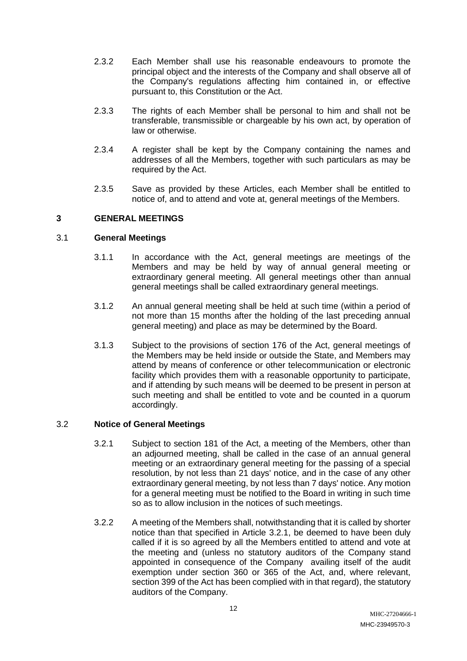- 2.3.2 Each Member shall use his reasonable endeavours to promote the principal object and the interests of the Company and shall observe all of the Company's regulations affecting him contained in, or effective pursuant to, this Constitution or the Act.
- 2.3.3 The rights of each Member shall be personal to him and shall not be transferable, transmissible or chargeable by his own act, by operation of law or otherwise.
- 2.3.4 A register shall be kept by the Company containing the names and addresses of all the Members, together with such particulars as may be required by the Act.
- 2.3.5 Save as provided by these Articles, each Member shall be entitled to notice of, and to attend and vote at, general meetings of the Members.

## **3 GENERAL MEETINGS**

### 3.1 **General Meetings**

- 3.1.1 In accordance with the Act, general meetings are meetings of the Members and may be held by way of annual general meeting or extraordinary general meeting. All general meetings other than annual general meetings shall be called extraordinary general meetings.
- 3.1.2 An annual general meeting shall be held at such time (within a period of not more than 15 months after the holding of the last preceding annual general meeting) and place as may be determined by the Board.
- 3.1.3 Subject to the provisions of section 176 of the Act, general meetings of the Members may be held inside or outside the State, and Members may attend by means of conference or other telecommunication or electronic facility which provides them with a reasonable opportunity to participate, and if attending by such means will be deemed to be present in person at such meeting and shall be entitled to vote and be counted in a quorum accordingly.

## 3.2 **Notice of General Meetings**

- 3.2.1 Subject to section 181 of the Act, a meeting of the Members, other than an adjourned meeting, shall be called in the case of an annual general meeting or an extraordinary general meeting for the passing of a special resolution, by not less than 21 days' notice, and in the case of any other extraordinary general meeting, by not less than 7 days' notice. Any motion for a general meeting must be notified to the Board in writing in such time so as to allow inclusion in the notices of such meetings.
- 3.2.2 A meeting of the Members shall, notwithstanding that it is called by shorter notice than that specified in Article 3.2.1, be deemed to have been duly called if it is so agreed by all the Members entitled to attend and vote at the meeting and (unless no statutory auditors of the Company stand appointed in consequence of the Company availing itself of the audit exemption under section 360 or 365 of the Act, and, where relevant, section 399 of the Act has been complied with in that regard), the statutory auditors of the Company.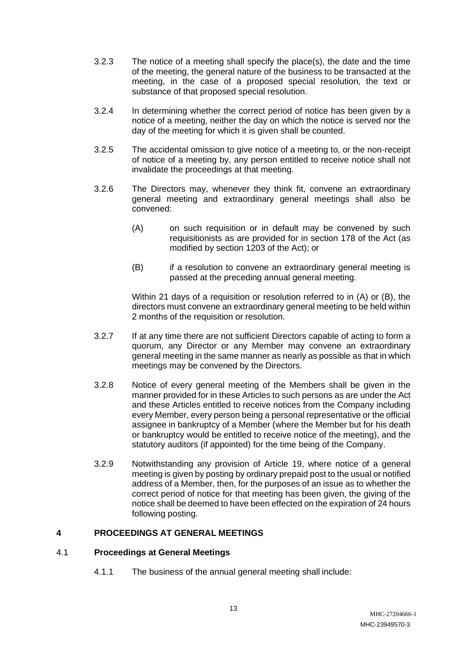- 3.2.3 The notice of a meeting shall specify the place(s), the date and the time of the meeting, the general nature of the business to be transacted at the meeting, in the case of a proposed special resolution, the text or substance of that proposed special resolution.
- 3.2.4 In determining whether the correct period of notice has been given by a notice of a meeting, neither the day on which the notice is served nor the day of the meeting for which it is given shall be counted.
- 3.2.5 The accidental omission to give notice of a meeting to, or the non-receipt of notice of a meeting by, any person entitled to receive notice shall not invalidate the proceedings at that meeting.
- 3.2.6 The Directors may, whenever they think fit, convene an extraordinary general meeting and extraordinary general meetings shall also be convened:
	- (A) on such requisition or in default may be convened by such requisitionists as are provided for in section 178 of the Act (as modified by section 1203 of the Act); or
	- (B) if a resolution to convene an extraordinary general meeting is passed at the preceding annual general meeting.

Within 21 days of a requisition or resolution referred to in (A) or (B), the directors must convene an extraordinary general meeting to be held within 2 months of the requisition or resolution.

- 3.2.7 If at any time there are not sufficient Directors capable of acting to form a quorum, any Director or any Member may convene an extraordinary general meeting in the same manner as nearly as possible as that in which meetings may be convened by the Directors.
- 3.2.8 Notice of every general meeting of the Members shall be given in the manner provided for in these Articles to such persons as are under the Act and these Articles entitled to receive notices from the Company including every Member, every person being a personal representative or the official assignee in bankruptcy of a Member (where the Member but for his death or bankruptcy would be entitled to receive notice of the meeting), and the statutory auditors (if appointed) for the time being of the Company.
- 3.2.9 Notwithstanding any provision of Article 19, where notice of a general meeting is given by posting by ordinary prepaid post to the usual or notified address of a Member, then, for the purposes of an issue as to whether the correct period of notice for that meeting has been given, the giving of the notice shall be deemed to have been effected on the expiration of 24 hours following posting.

# **4 PROCEEDINGS AT GENERAL MEETINGS**

## 4.1 **Proceedings at General Meetings**

4.1.1 The business of the annual general meeting shall include: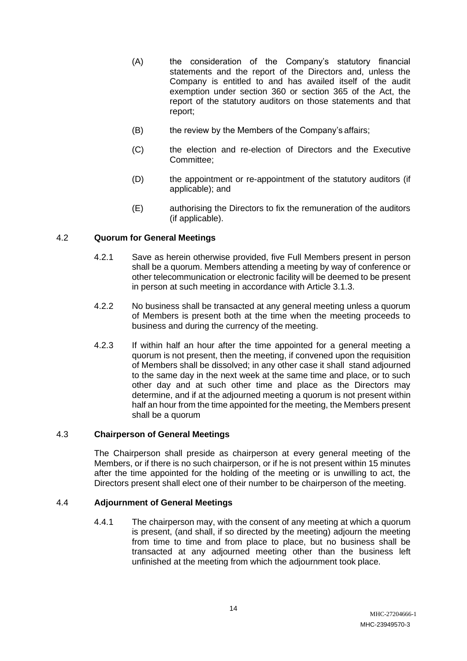- (A) the consideration of the Company's statutory financial statements and the report of the Directors and, unless the Company is entitled to and has availed itself of the audit exemption under section 360 or section 365 of the Act, the report of the statutory auditors on those statements and that report;
- (B) the review by the Members of the Company's affairs;
- (C) the election and re-election of Directors and the Executive Committee;
- (D) the appointment or re-appointment of the statutory auditors (if applicable); and
- (E) authorising the Directors to fix the remuneration of the auditors (if applicable).

## 4.2 **Quorum for General Meetings**

- 4.2.1 Save as herein otherwise provided, five Full Members present in person shall be a quorum. Members attending a meeting by way of conference or other telecommunication or electronic facility will be deemed to be present in person at such meeting in accordance with Article 3.1.3.
- 4.2.2 No business shall be transacted at any general meeting unless a quorum of Members is present both at the time when the meeting proceeds to business and during the currency of the meeting.
- 4.2.3 If within half an hour after the time appointed for a general meeting a quorum is not present, then the meeting, if convened upon the requisition of Members shall be dissolved; in any other case it shall stand adjourned to the same day in the next week at the same time and place, or to such other day and at such other time and place as the Directors may determine, and if at the adjourned meeting a quorum is not present within half an hour from the time appointed for the meeting, the Members present shall be a quorum

## 4.3 **Chairperson of General Meetings**

The Chairperson shall preside as chairperson at every general meeting of the Members, or if there is no such chairperson, or if he is not present within 15 minutes after the time appointed for the holding of the meeting or is unwilling to act, the Directors present shall elect one of their number to be chairperson of the meeting.

## 4.4 **Adjournment of General Meetings**

4.4.1 The chairperson may, with the consent of any meeting at which a quorum is present, (and shall, if so directed by the meeting) adjourn the meeting from time to time and from place to place, but no business shall be transacted at any adjourned meeting other than the business left unfinished at the meeting from which the adjournment took place.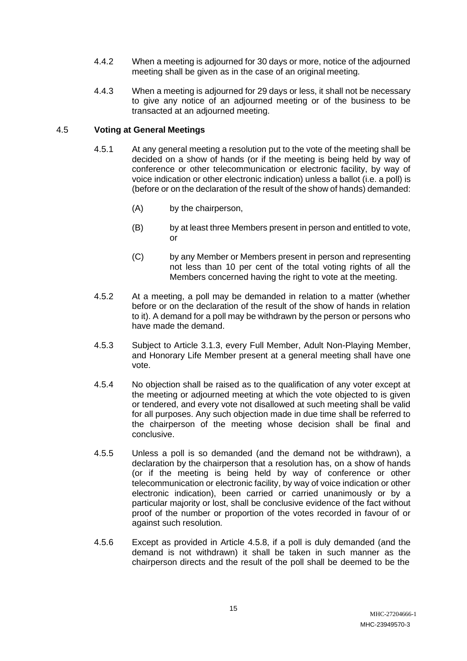- 4.4.2 When a meeting is adjourned for 30 days or more, notice of the adjourned meeting shall be given as in the case of an original meeting.
- 4.4.3 When a meeting is adjourned for 29 days or less, it shall not be necessary to give any notice of an adjourned meeting or of the business to be transacted at an adjourned meeting.

## 4.5 **Voting at General Meetings**

- 4.5.1 At any general meeting a resolution put to the vote of the meeting shall be decided on a show of hands (or if the meeting is being held by way of conference or other telecommunication or electronic facility, by way of voice indication or other electronic indication) unless a ballot (i.e. a poll) is (before or on the declaration of the result of the show of hands) demanded:
	- (A) by the chairperson,
	- (B) by at least three Members present in person and entitled to vote, or
	- (C) by any Member or Members present in person and representing not less than 10 per cent of the total voting rights of all the Members concerned having the right to vote at the meeting.
- 4.5.2 At a meeting, a poll may be demanded in relation to a matter (whether before or on the declaration of the result of the show of hands in relation to it). A demand for a poll may be withdrawn by the person or persons who have made the demand.
- 4.5.3 Subject to Article 3.1.3, every Full Member, Adult Non-Playing Member, and Honorary Life Member present at a general meeting shall have one vote.
- 4.5.4 No objection shall be raised as to the qualification of any voter except at the meeting or adjourned meeting at which the vote objected to is given or tendered, and every vote not disallowed at such meeting shall be valid for all purposes. Any such objection made in due time shall be referred to the chairperson of the meeting whose decision shall be final and conclusive.
- 4.5.5 Unless a poll is so demanded (and the demand not be withdrawn), a declaration by the chairperson that a resolution has, on a show of hands (or if the meeting is being held by way of conference or other telecommunication or electronic facility, by way of voice indication or other electronic indication), been carried or carried unanimously or by a particular majority or lost, shall be conclusive evidence of the fact without proof of the number or proportion of the votes recorded in favour of or against such resolution.
- 4.5.6 Except as provided in Article 4.5.8, if a poll is duly demanded (and the demand is not withdrawn) it shall be taken in such manner as the chairperson directs and the result of the poll shall be deemed to be the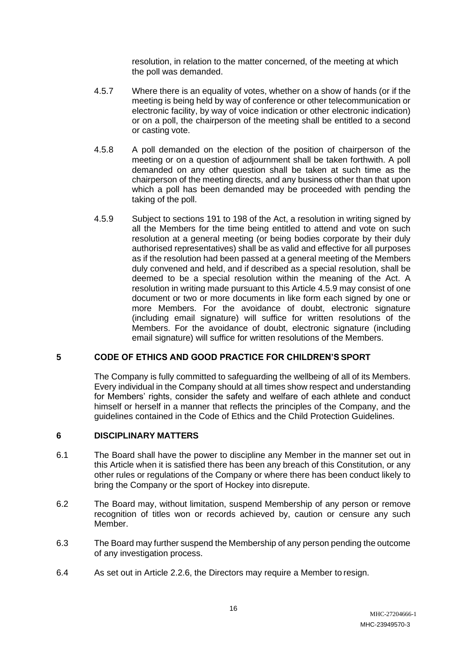resolution, in relation to the matter concerned, of the meeting at which the poll was demanded.

- 4.5.7 Where there is an equality of votes, whether on a show of hands (or if the meeting is being held by way of conference or other telecommunication or electronic facility, by way of voice indication or other electronic indication) or on a poll, the chairperson of the meeting shall be entitled to a second or casting vote.
- 4.5.8 A poll demanded on the election of the position of chairperson of the meeting or on a question of adjournment shall be taken forthwith. A poll demanded on any other question shall be taken at such time as the chairperson of the meeting directs, and any business other than that upon which a poll has been demanded may be proceeded with pending the taking of the poll.
- 4.5.9 Subject to sections 191 to 198 of the Act, a resolution in writing signed by all the Members for the time being entitled to attend and vote on such resolution at a general meeting (or being bodies corporate by their duly authorised representatives) shall be as valid and effective for all purposes as if the resolution had been passed at a general meeting of the Members duly convened and held, and if described as a special resolution, shall be deemed to be a special resolution within the meaning of the Act. A resolution in writing made pursuant to this Article 4.5.9 may consist of one document or two or more documents in like form each signed by one or more Members. For the avoidance of doubt, electronic signature (including email signature) will suffice for written resolutions of the Members. For the avoidance of doubt, electronic signature (including email signature) will suffice for written resolutions of the Members.

## **5 CODE OF ETHICS AND GOOD PRACTICE FOR CHILDREN'S SPORT**

The Company is fully committed to safeguarding the wellbeing of all of its Members. Every individual in the Company should at all times show respect and understanding for Members' rights, consider the safety and welfare of each athlete and conduct himself or herself in a manner that reflects the principles of the Company, and the guidelines contained in the Code of Ethics and the Child Protection Guidelines.

## **6 DISCIPLINARY MATTERS**

- 6.1 The Board shall have the power to discipline any Member in the manner set out in this Article when it is satisfied there has been any breach of this Constitution, or any other rules or regulations of the Company or where there has been conduct likely to bring the Company or the sport of Hockey into disrepute.
- 6.2 The Board may, without limitation, suspend Membership of any person or remove recognition of titles won or records achieved by, caution or censure any such Member.
- 6.3 The Board may further suspend the Membership of any person pending the outcome of any investigation process.
- 6.4 As set out in Article 2.2.6, the Directors may require a Member to resign.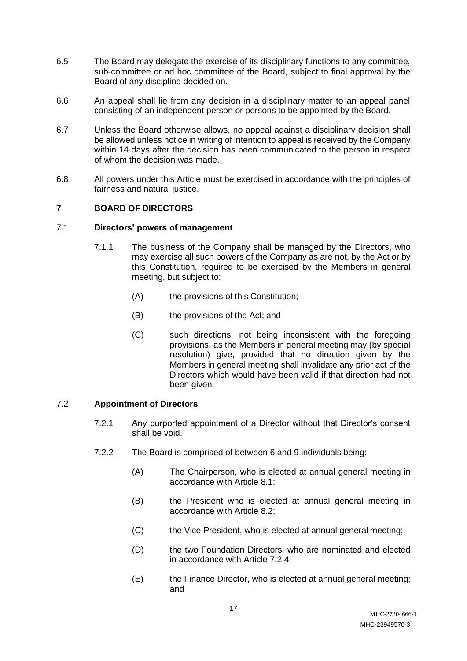- 6.5 The Board may delegate the exercise of its disciplinary functions to any committee, sub-committee or ad hoc committee of the Board, subject to final approval by the Board of any discipline decided on.
- 6.6 An appeal shall lie from any decision in a disciplinary matter to an appeal panel consisting of an independent person or persons to be appointed by the Board.
- 6.7 Unless the Board otherwise allows, no appeal against a disciplinary decision shall be allowed unless notice in writing of intention to appeal is received by the Company within 14 days after the decision has been communicated to the person in respect of whom the decision was made.
- 6.8 All powers under this Article must be exercised in accordance with the principles of fairness and natural justice.

## **7 BOARD OF DIRECTORS**

## 7.1 **Directors' powers of management**

- 7.1.1 The business of the Company shall be managed by the Directors, who may exercise all such powers of the Company as are not, by the Act or by this Constitution, required to be exercised by the Members in general meeting, but subject to:
	- (A) the provisions of this Constitution;
	- (B) the provisions of the Act; and
	- (C) such directions, not being inconsistent with the foregoing provisions, as the Members in general meeting may (by special resolution) give, provided that no direction given by the Members in general meeting shall invalidate any prior act of the Directors which would have been valid if that direction had not been given.

## 7.2 **Appointment of Directors**

- 7.2.1 Any purported appointment of a Director without that Director's consent shall be void.
- 7.2.2 The Board is comprised of between 6 and 9 individuals being:
	- (A) The Chairperson, who is elected at annual general meeting in accordance with Article 8.1;
	- (B) the President who is elected at annual general meeting in accordance with Article 8.2;
	- (C) the Vice President, who is elected at annual general meeting;
	- (D) the two Foundation Directors, who are nominated and elected in accordance with Article 7.2.4:
	- (E) the Finance Director, who is elected at annual general meeting; and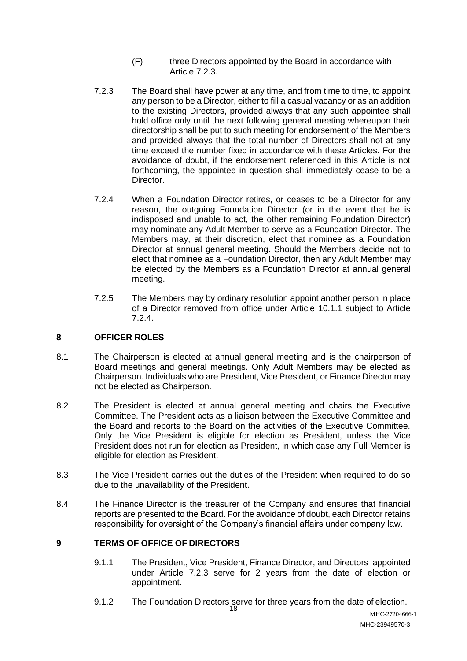- (F) three Directors appointed by the Board in accordance with Article 7.2.3.
- 7.2.3 The Board shall have power at any time, and from time to time, to appoint any person to be a Director, either to fill a casual vacancy or as an addition to the existing Directors, provided always that any such appointee shall hold office only until the next following general meeting whereupon their directorship shall be put to such meeting for endorsement of the Members and provided always that the total number of Directors shall not at any time exceed the number fixed in accordance with these Articles. For the avoidance of doubt, if the endorsement referenced in this Article is not forthcoming, the appointee in question shall immediately cease to be a Director.
- 7.2.4 When a Foundation Director retires, or ceases to be a Director for any reason, the outgoing Foundation Director (or in the event that he is indisposed and unable to act, the other remaining Foundation Director) may nominate any Adult Member to serve as a Foundation Director. The Members may, at their discretion, elect that nominee as a Foundation Director at annual general meeting. Should the Members decide not to elect that nominee as a Foundation Director, then any Adult Member may be elected by the Members as a Foundation Director at annual general meeting.
- 7.2.5 The Members may by ordinary resolution appoint another person in place of a Director removed from office under Article 10.1.1 subject to Article 7.2.4.

## **8 OFFICER ROLES**

- 8.1 The Chairperson is elected at annual general meeting and is the chairperson of Board meetings and general meetings. Only Adult Members may be elected as Chairperson. Individuals who are President, Vice President, or Finance Director may not be elected as Chairperson.
- 8.2 The President is elected at annual general meeting and chairs the Executive Committee. The President acts as a liaison between the Executive Committee and the Board and reports to the Board on the activities of the Executive Committee. Only the Vice President is eligible for election as President, unless the Vice President does not run for election as President, in which case any Full Member is eligible for election as President.
- 8.3 The Vice President carries out the duties of the President when required to do so due to the unavailability of the President.
- 8.4 The Finance Director is the treasurer of the Company and ensures that financial reports are presented to the Board. For the avoidance of doubt, each Director retains responsibility for oversight of the Company's financial affairs under company law.

# **9 TERMS OF OFFICE OF DIRECTORS**

- 9.1.1 The President, Vice President, Finance Director, and Directors appointed under Article 7.2.3 serve for 2 years from the date of election or appointment.
- 9.1.2 The Foundation Directors serve for three years from the date of election.<br>18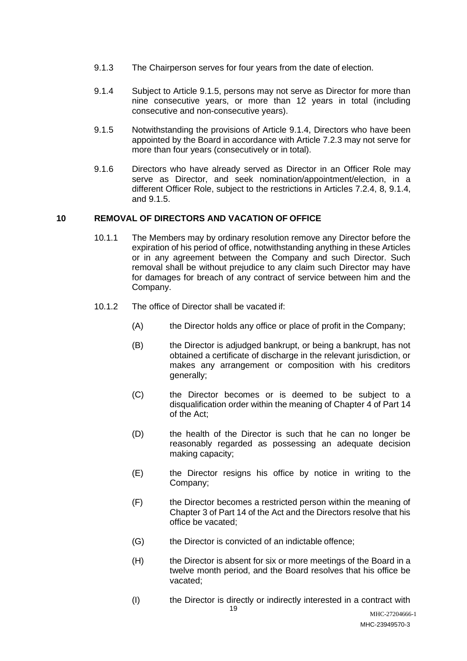- 9.1.3 The Chairperson serves for four years from the date of election.
- 9.1.4 Subject to Article 9.1.5, persons may not serve as Director for more than nine consecutive years, or more than 12 years in total (including consecutive and non-consecutive years).
- 9.1.5 Notwithstanding the provisions of Article 9.1.4, Directors who have been appointed by the Board in accordance with Article 7.2.3 may not serve for more than four years (consecutively or in total).
- 9.1.6 Directors who have already served as Director in an Officer Role may serve as Director, and seek nomination/appointment/election, in a different Officer Role, subject to the restrictions in Articles 7.2.4, 8, 9.1.4, and 9.1.5.

## **10 REMOVAL OF DIRECTORS AND VACATION OF OFFICE**

- 10.1.1 The Members may by ordinary resolution remove any Director before the expiration of his period of office, notwithstanding anything in these Articles or in any agreement between the Company and such Director. Such removal shall be without prejudice to any claim such Director may have for damages for breach of any contract of service between him and the Company.
- 10.1.2 The office of Director shall be vacated if:
	- (A) the Director holds any office or place of profit in the Company;
	- (B) the Director is adjudged bankrupt, or being a bankrupt, has not obtained a certificate of discharge in the relevant jurisdiction, or makes any arrangement or composition with his creditors generally;
	- (C) the Director becomes or is deemed to be subject to a disqualification order within the meaning of Chapter 4 of Part 14 of the Act;
	- (D) the health of the Director is such that he can no longer be reasonably regarded as possessing an adequate decision making capacity;
	- (E) the Director resigns his office by notice in writing to the Company;
	- (F) the Director becomes a restricted person within the meaning of Chapter 3 of Part 14 of the Act and the Directors resolve that his office be vacated;
	- (G) the Director is convicted of an indictable offence;
	- (H) the Director is absent for six or more meetings of the Board in a twelve month period, and the Board resolves that his office be vacated;
	- (I) the Director is directly or indirectly interested in a contract with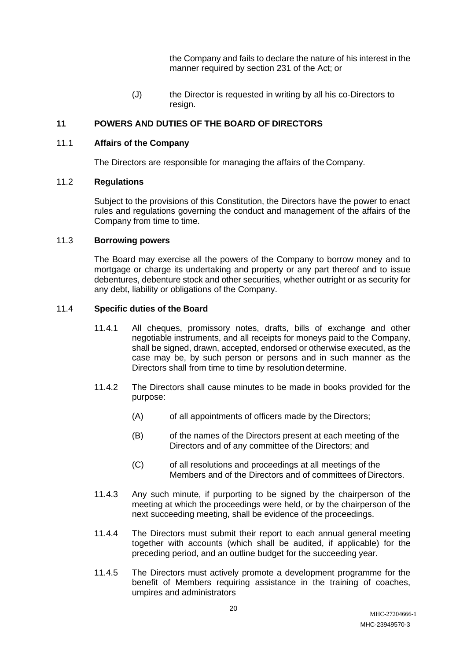the Company and fails to declare the nature of his interest in the manner required by section 231 of the Act; or

(J) the Director is requested in writing by all his co-Directors to resign.

## **11 POWERS AND DUTIES OF THE BOARD OF DIRECTORS**

### 11.1 **Affairs of the Company**

The Directors are responsible for managing the affairs of the Company.

## 11.2 **Regulations**

Subject to the provisions of this Constitution, the Directors have the power to enact rules and regulations governing the conduct and management of the affairs of the Company from time to time.

### 11.3 **Borrowing powers**

The Board may exercise all the powers of the Company to borrow money and to mortgage or charge its undertaking and property or any part thereof and to issue debentures, debenture stock and other securities, whether outright or as security for any debt, liability or obligations of the Company.

### 11.4 **Specific duties of the Board**

- 11.4.1 All cheques, promissory notes, drafts, bills of exchange and other negotiable instruments, and all receipts for moneys paid to the Company, shall be signed, drawn, accepted, endorsed or otherwise executed, as the case may be, by such person or persons and in such manner as the Directors shall from time to time by resolution determine.
- 11.4.2 The Directors shall cause minutes to be made in books provided for the purpose:
	- (A) of all appointments of officers made by the Directors;
	- (B) of the names of the Directors present at each meeting of the Directors and of any committee of the Directors; and
	- (C) of all resolutions and proceedings at all meetings of the Members and of the Directors and of committees of Directors.
- 11.4.3 Any such minute, if purporting to be signed by the chairperson of the meeting at which the proceedings were held, or by the chairperson of the next succeeding meeting, shall be evidence of the proceedings.
- 11.4.4 The Directors must submit their report to each annual general meeting together with accounts (which shall be audited, if applicable) for the preceding period, and an outline budget for the succeeding year.
- 11.4.5 The Directors must actively promote a development programme for the benefit of Members requiring assistance in the training of coaches, umpires and administrators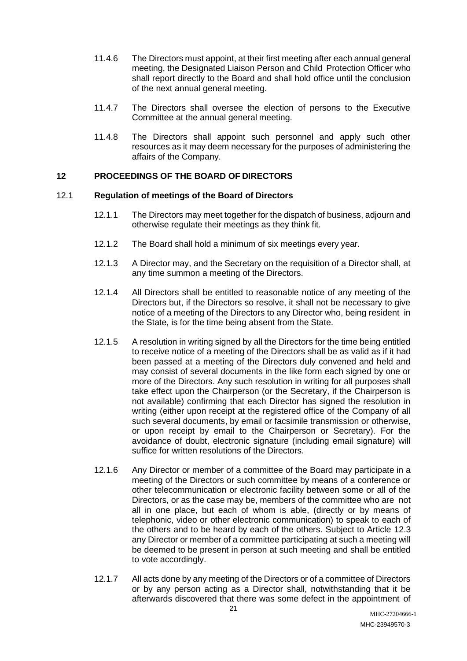- 11.4.6 The Directors must appoint, at their first meeting after each annual general meeting, the Designated Liaison Person and Child Protection Officer who shall report directly to the Board and shall hold office until the conclusion of the next annual general meeting.
- 11.4.7 The Directors shall oversee the election of persons to the Executive Committee at the annual general meeting.
- 11.4.8 The Directors shall appoint such personnel and apply such other resources as it may deem necessary for the purposes of administering the affairs of the Company.

## **12 PROCEEDINGS OF THE BOARD OF DIRECTORS**

### 12.1 **Regulation of meetings of the Board of Directors**

- 12.1.1 The Directors may meet together for the dispatch of business, adjourn and otherwise regulate their meetings as they think fit.
- 12.1.2 The Board shall hold a minimum of six meetings every year.
- 12.1.3 A Director may, and the Secretary on the requisition of a Director shall, at any time summon a meeting of the Directors.
- 12.1.4 All Directors shall be entitled to reasonable notice of any meeting of the Directors but, if the Directors so resolve, it shall not be necessary to give notice of a meeting of the Directors to any Director who, being resident in the State, is for the time being absent from the State.
- 12.1.5 A resolution in writing signed by all the Directors for the time being entitled to receive notice of a meeting of the Directors shall be as valid as if it had been passed at a meeting of the Directors duly convened and held and may consist of several documents in the like form each signed by one or more of the Directors. Any such resolution in writing for all purposes shall take effect upon the Chairperson (or the Secretary, if the Chairperson is not available) confirming that each Director has signed the resolution in writing (either upon receipt at the registered office of the Company of all such several documents, by email or facsimile transmission or otherwise, or upon receipt by email to the Chairperson or Secretary). For the avoidance of doubt, electronic signature (including email signature) will suffice for written resolutions of the Directors.
- 12.1.6 Any Director or member of a committee of the Board may participate in a meeting of the Directors or such committee by means of a conference or other telecommunication or electronic facility between some or all of the Directors, or as the case may be, members of the committee who are not all in one place, but each of whom is able, (directly or by means of telephonic, video or other electronic communication) to speak to each of the others and to be heard by each of the others. Subject to Article 12.3 any Director or member of a committee participating at such a meeting will be deemed to be present in person at such meeting and shall be entitled to vote accordingly.
- 12.1.7 All acts done by any meeting of the Directors or of a committee of Directors or by any person acting as a Director shall, notwithstanding that it be afterwards discovered that there was some defect in the appointment of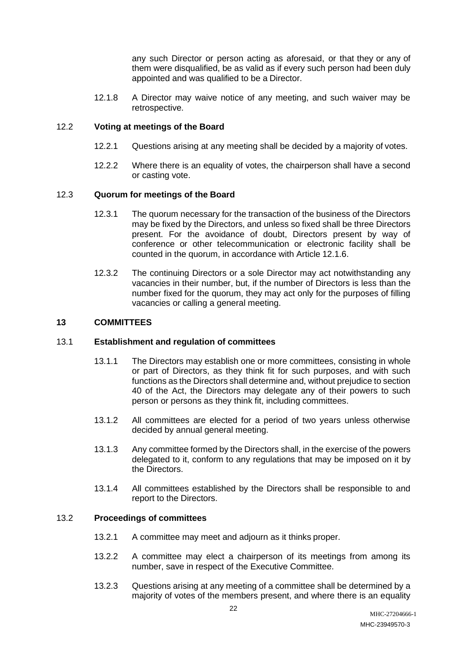any such Director or person acting as aforesaid, or that they or any of them were disqualified, be as valid as if every such person had been duly appointed and was qualified to be a Director.

12.1.8 A Director may waive notice of any meeting, and such waiver may be retrospective.

### 12.2 **Voting at meetings of the Board**

- 12.2.1 Questions arising at any meeting shall be decided by a majority of votes.
- 12.2.2 Where there is an equality of votes, the chairperson shall have a second or casting vote.

### 12.3 **Quorum for meetings of the Board**

- 12.3.1 The quorum necessary for the transaction of the business of the Directors may be fixed by the Directors, and unless so fixed shall be three Directors present. For the avoidance of doubt, Directors present by way of conference or other telecommunication or electronic facility shall be counted in the quorum, in accordance with Article 12.1.6.
- 12.3.2 The continuing Directors or a sole Director may act notwithstanding any vacancies in their number, but, if the number of Directors is less than the number fixed for the quorum, they may act only for the purposes of filling vacancies or calling a general meeting.

### **13 COMMITTEES**

### 13.1 **Establishment and regulation of committees**

- 13.1.1 The Directors may establish one or more committees, consisting in whole or part of Directors, as they think fit for such purposes, and with such functions as the Directors shall determine and, without prejudice to section 40 of the Act, the Directors may delegate any of their powers to such person or persons as they think fit, including committees.
- 13.1.2 All committees are elected for a period of two years unless otherwise decided by annual general meeting.
- 13.1.3 Any committee formed by the Directors shall, in the exercise of the powers delegated to it, conform to any regulations that may be imposed on it by the Directors.
- 13.1.4 All committees established by the Directors shall be responsible to and report to the Directors.

### 13.2 **Proceedings of committees**

- 13.2.1 A committee may meet and adjourn as it thinks proper.
- 13.2.2 A committee may elect a chairperson of its meetings from among its number, save in respect of the Executive Committee.
- 13.2.3 Questions arising at any meeting of a committee shall be determined by a majority of votes of the members present, and where there is an equality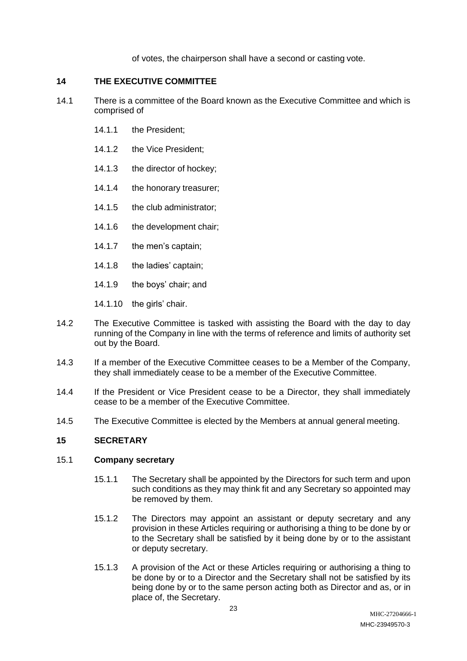of votes, the chairperson shall have a second or casting vote.

## **14 THE EXECUTIVE COMMITTEE**

- 14.1 There is a committee of the Board known as the Executive Committee and which is comprised of
	- 14.1.1 the President;
	- 14.1.2 the Vice President;
	- 14.1.3 the director of hockey;
	- 14.1.4 the honorary treasurer;
	- 14.1.5 the club administrator;
	- 14.1.6 the development chair;
	- 14.1.7 the men's captain;
	- 14.1.8 the ladies' captain;
	- 14.1.9 the boys' chair; and
	- 14.1.10 the girls' chair.
- 14.2 The Executive Committee is tasked with assisting the Board with the day to day running of the Company in line with the terms of reference and limits of authority set out by the Board.
- 14.3 If a member of the Executive Committee ceases to be a Member of the Company, they shall immediately cease to be a member of the Executive Committee.
- 14.4 If the President or Vice President cease to be a Director, they shall immediately cease to be a member of the Executive Committee.
- 14.5 The Executive Committee is elected by the Members at annual general meeting.

## **15 SECRETARY**

### 15.1 **Company secretary**

- 15.1.1 The Secretary shall be appointed by the Directors for such term and upon such conditions as they may think fit and any Secretary so appointed may be removed by them.
- 15.1.2 The Directors may appoint an assistant or deputy secretary and any provision in these Articles requiring or authorising a thing to be done by or to the Secretary shall be satisfied by it being done by or to the assistant or deputy secretary.
- 15.1.3 A provision of the Act or these Articles requiring or authorising a thing to be done by or to a Director and the Secretary shall not be satisfied by its being done by or to the same person acting both as Director and as, or in place of, the Secretary.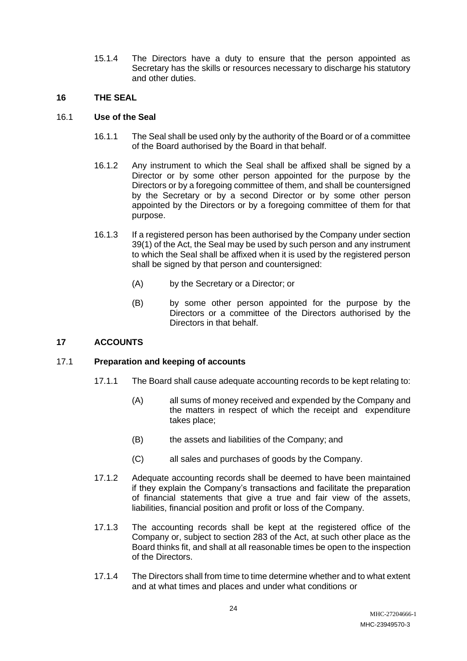15.1.4 The Directors have a duty to ensure that the person appointed as Secretary has the skills or resources necessary to discharge his statutory and other duties.

## **16 THE SEAL**

## 16.1 **Use of the Seal**

- 16.1.1 The Seal shall be used only by the authority of the Board or of a committee of the Board authorised by the Board in that behalf.
- 16.1.2 Any instrument to which the Seal shall be affixed shall be signed by a Director or by some other person appointed for the purpose by the Directors or by a foregoing committee of them, and shall be countersigned by the Secretary or by a second Director or by some other person appointed by the Directors or by a foregoing committee of them for that purpose.
- 16.1.3 If a registered person has been authorised by the Company under section 39(1) of the Act, the Seal may be used by such person and any instrument to which the Seal shall be affixed when it is used by the registered person shall be signed by that person and countersigned:
	- (A) by the Secretary or a Director; or
	- (B) by some other person appointed for the purpose by the Directors or a committee of the Directors authorised by the Directors in that behalf.

## **17 ACCOUNTS**

## 17.1 **Preparation and keeping of accounts**

- 17.1.1 The Board shall cause adequate accounting records to be kept relating to:
	- (A) all sums of money received and expended by the Company and the matters in respect of which the receipt and expenditure takes place;
	- (B) the assets and liabilities of the Company; and
	- (C) all sales and purchases of goods by the Company.
- 17.1.2 Adequate accounting records shall be deemed to have been maintained if they explain the Company's transactions and facilitate the preparation of financial statements that give a true and fair view of the assets, liabilities, financial position and profit or loss of the Company.
- 17.1.3 The accounting records shall be kept at the registered office of the Company or, subject to section 283 of the Act, at such other place as the Board thinks fit, and shall at all reasonable times be open to the inspection of the Directors.
- 17.1.4 The Directors shall from time to time determine whether and to what extent and at what times and places and under what conditions or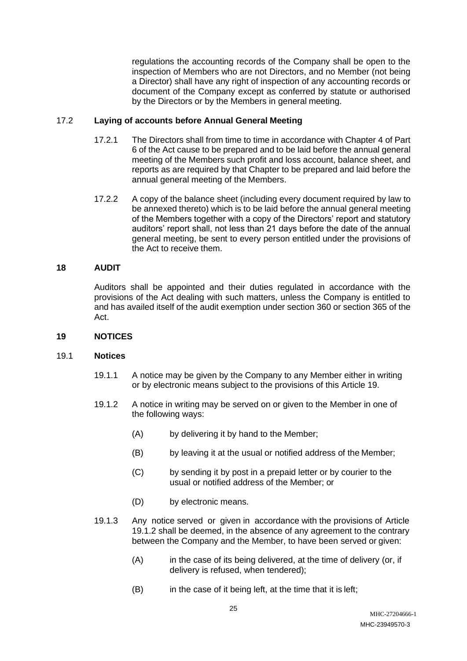regulations the accounting records of the Company shall be open to the inspection of Members who are not Directors, and no Member (not being a Director) shall have any right of inspection of any accounting records or document of the Company except as conferred by statute or authorised by the Directors or by the Members in general meeting.

## 17.2 **Laying of accounts before Annual General Meeting**

- 17.2.1 The Directors shall from time to time in accordance with Chapter 4 of Part 6 of the Act cause to be prepared and to be laid before the annual general meeting of the Members such profit and loss account, balance sheet, and reports as are required by that Chapter to be prepared and laid before the annual general meeting of the Members.
- 17.2.2 A copy of the balance sheet (including every document required by law to be annexed thereto) which is to be laid before the annual general meeting of the Members together with a copy of the Directors' report and statutory auditors' report shall, not less than 21 days before the date of the annual general meeting, be sent to every person entitled under the provisions of the Act to receive them.

### **18 AUDIT**

Auditors shall be appointed and their duties regulated in accordance with the provisions of the Act dealing with such matters, unless the Company is entitled to and has availed itself of the audit exemption under section 360 or section 365 of the Act.

### **19 NOTICES**

### 19.1 **Notices**

- 19.1.1 A notice may be given by the Company to any Member either in writing or by electronic means subject to the provisions of this Article 19.
- 19.1.2 A notice in writing may be served on or given to the Member in one of the following ways:
	- (A) by delivering it by hand to the Member;
	- (B) by leaving it at the usual or notified address of the Member;
	- (C) by sending it by post in a prepaid letter or by courier to the usual or notified address of the Member; or
	- (D) by electronic means.
- 19.1.3 Any notice served or given in accordance with the provisions of Article 19.1.2 shall be deemed, in the absence of any agreement to the contrary between the Company and the Member, to have been served or given:
	- (A) in the case of its being delivered, at the time of delivery (or, if delivery is refused, when tendered);
	- (B) in the case of it being left, at the time that it is left;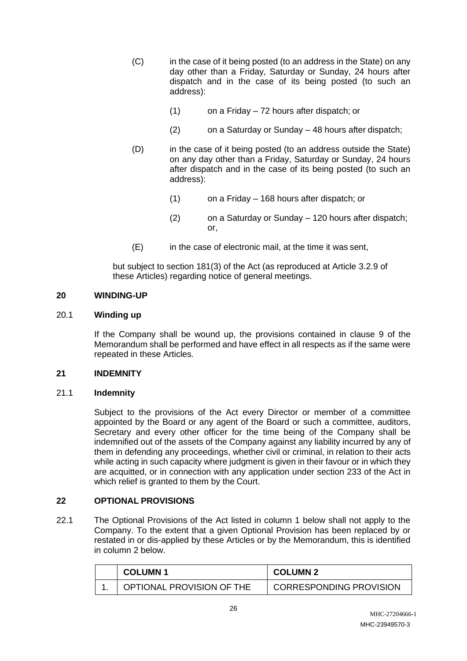- (C) in the case of it being posted (to an address in the State) on any day other than a Friday, Saturday or Sunday, 24 hours after dispatch and in the case of its being posted (to such an address):
	- (1) on a Friday 72 hours after dispatch; or
	- (2) on a Saturday or Sunday 48 hours after dispatch;
- (D) in the case of it being posted (to an address outside the State) on any day other than a Friday, Saturday or Sunday, 24 hours after dispatch and in the case of its being posted (to such an address):
	- (1) on a Friday 168 hours after dispatch; or
	- (2) on a Saturday or Sunday 120 hours after dispatch; or,
- (E) in the case of electronic mail, at the time it was sent,

but subject to section 181(3) of the Act (as reproduced at Article 3.2.9 of these Articles) regarding notice of general meetings.

### **20 WINDING-UP**

### 20.1 **Winding up**

If the Company shall be wound up, the provisions contained in clause 9 of the Memorandum shall be performed and have effect in all respects as if the same were repeated in these Articles.

### **21 INDEMNITY**

### 21.1 **Indemnity**

Subject to the provisions of the Act every Director or member of a committee appointed by the Board or any agent of the Board or such a committee, auditors, Secretary and every other officer for the time being of the Company shall be indemnified out of the assets of the Company against any liability incurred by any of them in defending any proceedings, whether civil or criminal, in relation to their acts while acting in such capacity where judgment is given in their favour or in which they are acquitted, or in connection with any application under section 233 of the Act in which relief is granted to them by the Court.

## **22 OPTIONAL PROVISIONS**

22.1 The Optional Provisions of the Act listed in column 1 below shall not apply to the Company. To the extent that a given Optional Provision has been replaced by or restated in or dis-applied by these Articles or by the Memorandum, this is identified in column 2 below.

| <b>COLUMN 1</b>           | <b>COLUMN 2</b>         |
|---------------------------|-------------------------|
| OPTIONAL PROVISION OF THE | CORRESPONDING PROVISION |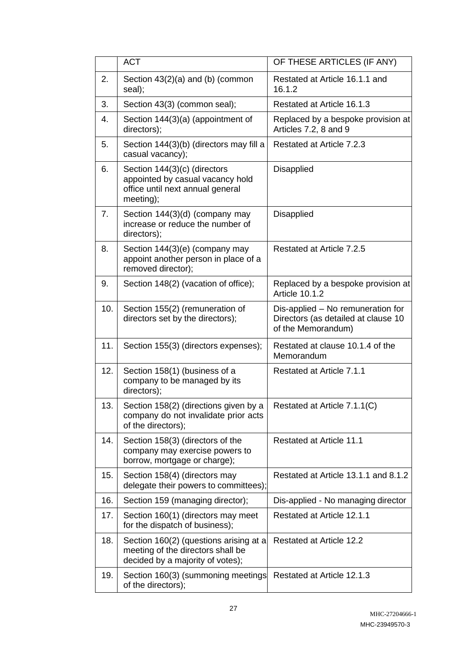|     | <b>ACT</b>                                                                                                        | OF THESE ARTICLES (IF ANY)                                                                     |  |
|-----|-------------------------------------------------------------------------------------------------------------------|------------------------------------------------------------------------------------------------|--|
| 2.  | Section $43(2)(a)$ and (b) (common<br>seal);                                                                      | Restated at Article 16.1.1 and<br>16.1.2                                                       |  |
| 3.  | Section 43(3) (common seal);                                                                                      | Restated at Article 16.1.3                                                                     |  |
| 4.  | Section 144(3)(a) (appointment of<br>directors);                                                                  | Replaced by a bespoke provision at<br>Articles 7.2, 8 and 9                                    |  |
| 5.  | Section 144(3)(b) (directors may fill a<br>casual vacancy);                                                       | Restated at Article 7.2.3                                                                      |  |
| 6.  | Section 144(3)(c) (directors<br>appointed by casual vacancy hold<br>office until next annual general<br>meeting); | Disapplied                                                                                     |  |
| 7.  | Section 144(3)(d) (company may<br>increase or reduce the number of<br>directors);                                 | Disapplied                                                                                     |  |
| 8.  | Section 144(3)(e) (company may<br>appoint another person in place of a<br>removed director);                      | Restated at Article 7.2.5                                                                      |  |
| 9.  | Section 148(2) (vacation of office);                                                                              | Replaced by a bespoke provision at<br><b>Article 10.1.2</b>                                    |  |
| 10. | Section 155(2) (remuneration of<br>directors set by the directors);                                               | Dis-applied - No remuneration for<br>Directors (as detailed at clause 10<br>of the Memorandum) |  |
| 11. | Section 155(3) (directors expenses);                                                                              | Restated at clause 10.1.4 of the<br>Memorandum                                                 |  |
| 12. | Section 158(1) (business of a<br>company to be managed by its<br>directors);                                      | Restated at Article 7.1.1                                                                      |  |
| 13. | Section 158(2) (directions given by a<br>company do not invalidate prior acts<br>of the directors);               | Restated at Article 7.1.1(C)                                                                   |  |
| 14. | Section 158(3) (directors of the<br>company may exercise powers to<br>borrow, mortgage or charge);                | <b>Restated at Article 11.1</b>                                                                |  |
| 15. | Section 158(4) (directors may<br>delegate their powers to committees);                                            | Restated at Article 13.1.1 and 8.1.2                                                           |  |
| 16. | Section 159 (managing director);                                                                                  | Dis-applied - No managing director                                                             |  |
| 17. | Section 160(1) (directors may meet<br>for the dispatch of business);                                              | Restated at Article 12.1.1                                                                     |  |
| 18. | Section 160(2) (questions arising at a<br>meeting of the directors shall be<br>decided by a majority of votes);   | <b>Restated at Article 12.2</b>                                                                |  |
| 19. | Section 160(3) (summoning meetings<br>of the directors);                                                          | Restated at Article 12.1.3                                                                     |  |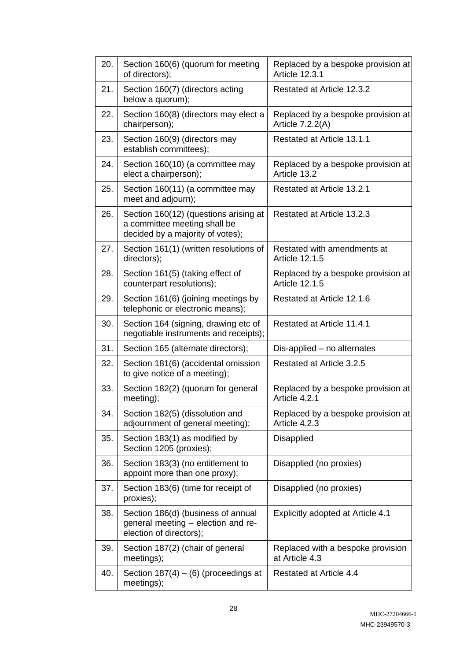| 20. | Section 160(6) (quorum for meeting<br>of directors);                                                      | Replaced by a bespoke provision at<br><b>Article 12.3.1</b> |  |
|-----|-----------------------------------------------------------------------------------------------------------|-------------------------------------------------------------|--|
| 21. | Section 160(7) (directors acting<br>below a quorum);                                                      | <b>Restated at Article 12.3.2</b>                           |  |
| 22. | Section 160(8) (directors may elect a<br>chairperson);                                                    | Replaced by a bespoke provision at<br>Article 7.2.2(A)      |  |
| 23. | Section 160(9) (directors may<br>establish committees);                                                   | Restated at Article 13.1.1                                  |  |
| 24. | Section 160(10) (a committee may<br>elect a chairperson);                                                 | Replaced by a bespoke provision at<br>Article 13.2          |  |
| 25. | Section 160(11) (a committee may<br>meet and adjourn);                                                    | Restated at Article 13.2.1                                  |  |
| 26. | Section 160(12) (questions arising at<br>a committee meeting shall be<br>decided by a majority of votes); | Restated at Article 13.2.3                                  |  |
| 27. | Section 161(1) (written resolutions of<br>directors);                                                     | Restated with amendments at<br><b>Article 12.1.5</b>        |  |
| 28. | Section 161(5) (taking effect of<br>counterpart resolutions);                                             | Replaced by a bespoke provision at<br><b>Article 12.1.5</b> |  |
| 29. | Section 161(6) (joining meetings by<br>telephonic or electronic means);                                   | Restated at Article 12.1.6                                  |  |
| 30. | Section 164 (signing, drawing etc of<br>negotiable instruments and receipts);                             | Restated at Article 11.4.1                                  |  |
| 31. | Section 165 (alternate directors);                                                                        | Dis-applied - no alternates                                 |  |
| 32. | Section 181(6) (accidental omission<br>to give notice of a meeting);                                      | Restated at Article 3.2.5                                   |  |
| 33. | Section 182(2) (quorum for general<br>meeting);                                                           | Replaced by a bespoke provision at<br>Article 4.2.1         |  |
| 34. | Section 182(5) (dissolution and<br>adjournment of general meeting);                                       | Replaced by a bespoke provision at<br>Article 4.2.3         |  |
| 35. | Section 183(1) as modified by<br>Section 1205 (proxies);                                                  | <b>Disapplied</b>                                           |  |
| 36. | Section 183(3) (no entitlement to<br>appoint more than one proxy);                                        | Disapplied (no proxies)                                     |  |
| 37. | Section 183(6) (time for receipt of<br>proxies);                                                          | Disapplied (no proxies)                                     |  |
| 38. | Section 186(d) (business of annual<br>general meeting - election and re-<br>election of directors);       | Explicitly adopted at Article 4.1                           |  |
| 39. | Section 187(2) (chair of general<br>meetings);                                                            | Replaced with a bespoke provision<br>at Article 4.3         |  |
| 40. | Section $187(4) - (6)$ (proceedings at<br>meetings);                                                      | <b>Restated at Article 4.4</b>                              |  |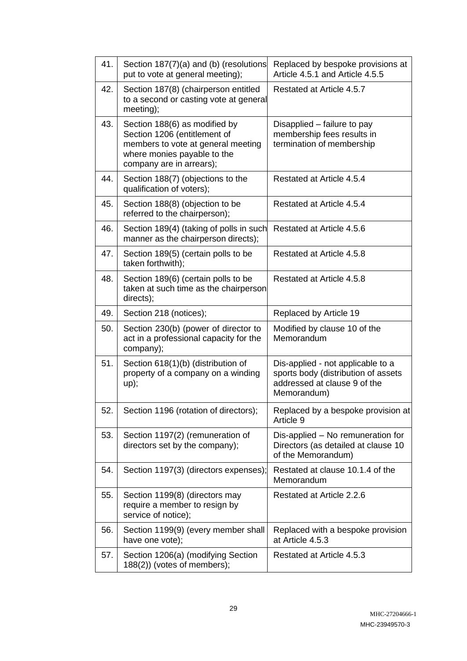| 41. | Section 187(7)(a) and (b) (resolutions<br>put to vote at general meeting);                                                                                     | Replaced by bespoke provisions at<br>Article 4.5.1 and Article 4.5.5                                                    |  |
|-----|----------------------------------------------------------------------------------------------------------------------------------------------------------------|-------------------------------------------------------------------------------------------------------------------------|--|
| 42. | Section 187(8) (chairperson entitled<br>to a second or casting vote at general<br>meeting);                                                                    | Restated at Article 4.5.7                                                                                               |  |
| 43. | Section 188(6) as modified by<br>Section 1206 (entitlement of<br>members to vote at general meeting<br>where monies payable to the<br>company are in arrears); | Disapplied – failure to pay<br>membership fees results in<br>termination of membership                                  |  |
| 44. | Section 188(7) (objections to the<br>qualification of voters);                                                                                                 | Restated at Article 4.5.4                                                                                               |  |
| 45. | Section 188(8) (objection to be<br>referred to the chairperson);                                                                                               | Restated at Article 4.5.4                                                                                               |  |
| 46. | Section 189(4) (taking of polls in such<br>manner as the chairperson directs);                                                                                 | Restated at Article 4.5.6                                                                                               |  |
| 47. | Section 189(5) (certain polls to be<br>taken forthwith);                                                                                                       | Restated at Article 4.5.8                                                                                               |  |
| 48. | Section 189(6) (certain polls to be<br>taken at such time as the chairperson<br>directs);                                                                      | Restated at Article 4.5.8                                                                                               |  |
| 49. | Section 218 (notices);                                                                                                                                         | Replaced by Article 19                                                                                                  |  |
| 50. | Section 230(b) (power of director to<br>act in a professional capacity for the<br>company);                                                                    | Modified by clause 10 of the<br>Memorandum                                                                              |  |
| 51. | Section 618(1)(b) (distribution of<br>property of a company on a winding<br>up);                                                                               | Dis-applied - not applicable to a<br>sports body (distribution of assets<br>addressed at clause 9 of the<br>Memorandum) |  |
| 52. | Section 1196 (rotation of directors);                                                                                                                          | Replaced by a bespoke provision at<br>Article 9                                                                         |  |
| 53. | Section 1197(2) (remuneration of<br>directors set by the company);                                                                                             | Dis-applied - No remuneration for<br>Directors (as detailed at clause 10<br>of the Memorandum)                          |  |
| 54. | Section 1197(3) (directors expenses);                                                                                                                          | Restated at clause 10.1.4 of the<br>Memorandum                                                                          |  |
| 55. | Section 1199(8) (directors may<br>require a member to resign by<br>service of notice);                                                                         | Restated at Article 2.2.6                                                                                               |  |
| 56. | Section 1199(9) (every member shall<br>have one vote);                                                                                                         | Replaced with a bespoke provision<br>at Article 4.5.3                                                                   |  |
| 57. | Section 1206(a) (modifying Section<br>188(2)) (votes of members);                                                                                              | Restated at Article 4.5.3                                                                                               |  |